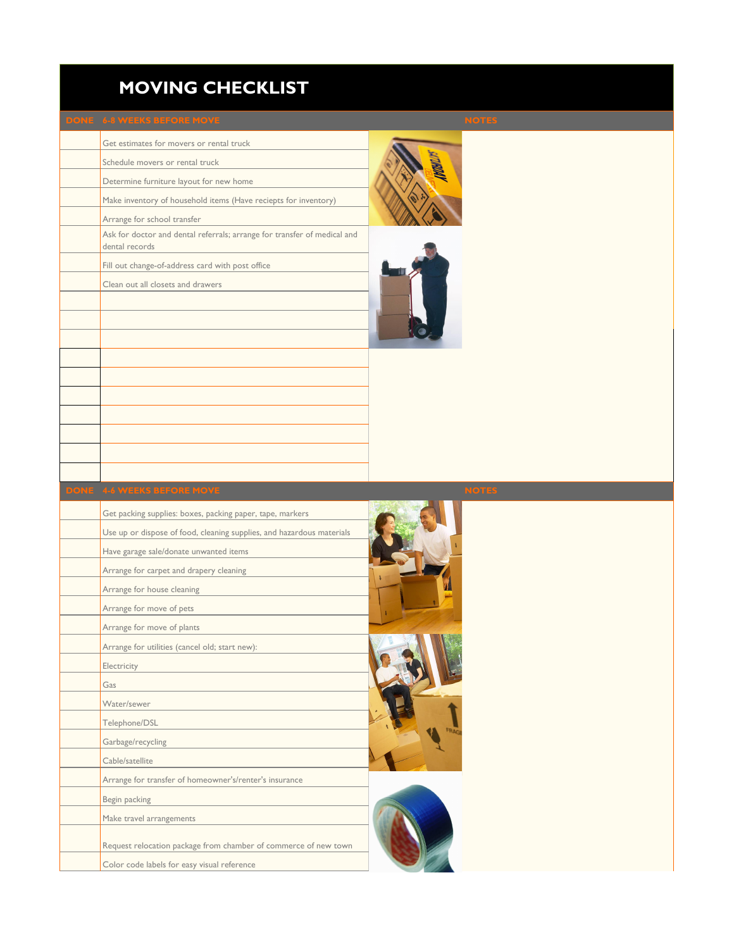## **MOVING CHECKLIST**

Get estimates for movers or rental truck

Schedule movers or rental truck Determine furniture layout for new home Make inventory of household items (Have reciepts for inventory) Arrange for school transfer Ask for doctor and dental referrals; arrange for transfer of medical and dental records Fill out change-of-address card with post office Clean out all closets and drawers





| Get packing supplies: boxes, packing paper, tape, markers             |  |
|-----------------------------------------------------------------------|--|
| Use up or dispose of food, cleaning supplies, and hazardous materials |  |
| Have garage sale/donate unwanted items                                |  |
| Arrange for carpet and drapery cleaning                               |  |
| Arrange for house cleaning                                            |  |
| Arrange for move of pets                                              |  |
| Arrange for move of plants                                            |  |
| Arrange for utilities (cancel old; start new):                        |  |
| Electricity                                                           |  |
| Gas                                                                   |  |
| Water/sewer                                                           |  |
| Telephone/DSL                                                         |  |
| Garbage/recycling                                                     |  |
| Cable/satellite                                                       |  |
| Arrange for transfer of homeowner's/renter's insurance                |  |
| Begin packing                                                         |  |
| Make travel arrangements                                              |  |
| Request relocation package from chamber of commerce of new town       |  |
| Color code labels for easy visual reference                           |  |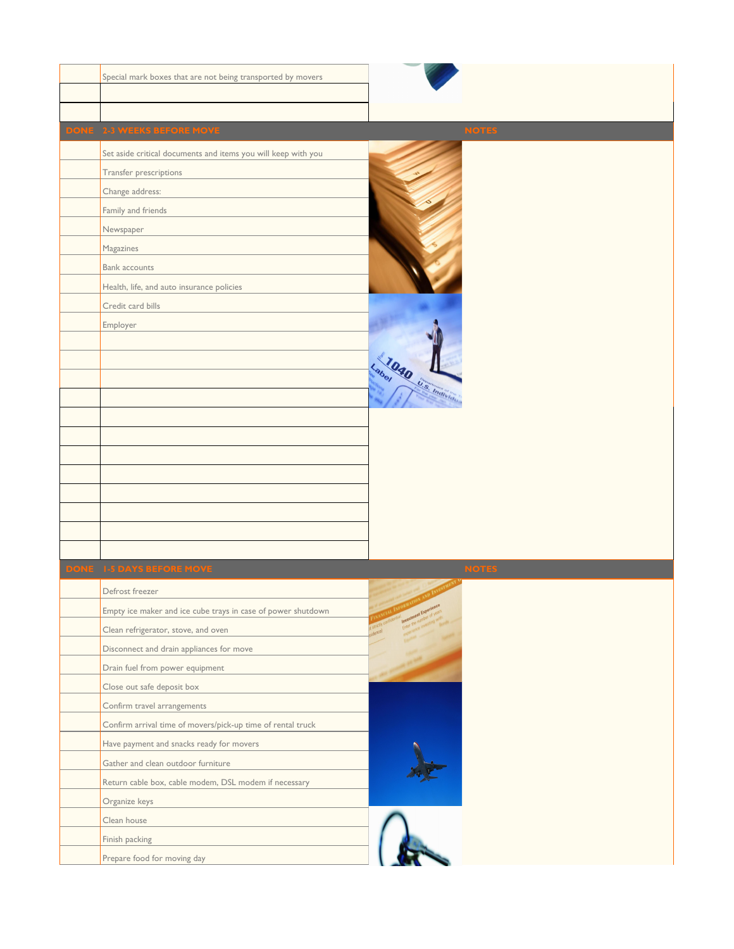| Special mark boxes that are not being transported by movers   |                              |
|---------------------------------------------------------------|------------------------------|
|                                                               |                              |
|                                                               |                              |
| DONE 2-3 WEEKS BEFORE MOVE                                    | <b>NOTES</b>                 |
| Set aside critical documents and items you will keep with you |                              |
| Transfer prescriptions                                        |                              |
| Change address:                                               |                              |
| Family and friends                                            |                              |
| Newspaper                                                     |                              |
| Magazines                                                     |                              |
| <b>Bank accounts</b>                                          |                              |
| Health, life, and auto insurance policies                     |                              |
| Credit card bills                                             |                              |
| Employer                                                      |                              |
|                                                               |                              |
|                                                               |                              |
|                                                               | Labor 1040 Listmanitaria     |
|                                                               |                              |
|                                                               |                              |
|                                                               |                              |
|                                                               |                              |
|                                                               |                              |
|                                                               |                              |
|                                                               |                              |
|                                                               |                              |
|                                                               |                              |
| DONE 1-5 DAYS BEFORE MOVE                                     | <b>NOTES</b>                 |
| Defrost freezer                                               |                              |
| Empty ice maker and ice cube trays in case of power shutdown  | <b>Investment Experience</b> |
| Clean refrigerator, stove, and oven                           |                              |
| Disconnect and drain appliances for move                      |                              |
| Drain fuel from power equipment                               |                              |
| Close out safe deposit box                                    |                              |
| Confirm travel arrangements                                   |                              |
| Confirm arrival time of movers/pick-up time of rental truck   |                              |
| Have payment and snacks ready for movers                      |                              |
| Gather and clean outdoor furniture                            |                              |
| Return cable box, cable modem, DSL modem if necessary         |                              |
| Organize keys                                                 |                              |
| Clean house                                                   |                              |
| Finish packing                                                |                              |
| Prepare food for moving day                                   |                              |